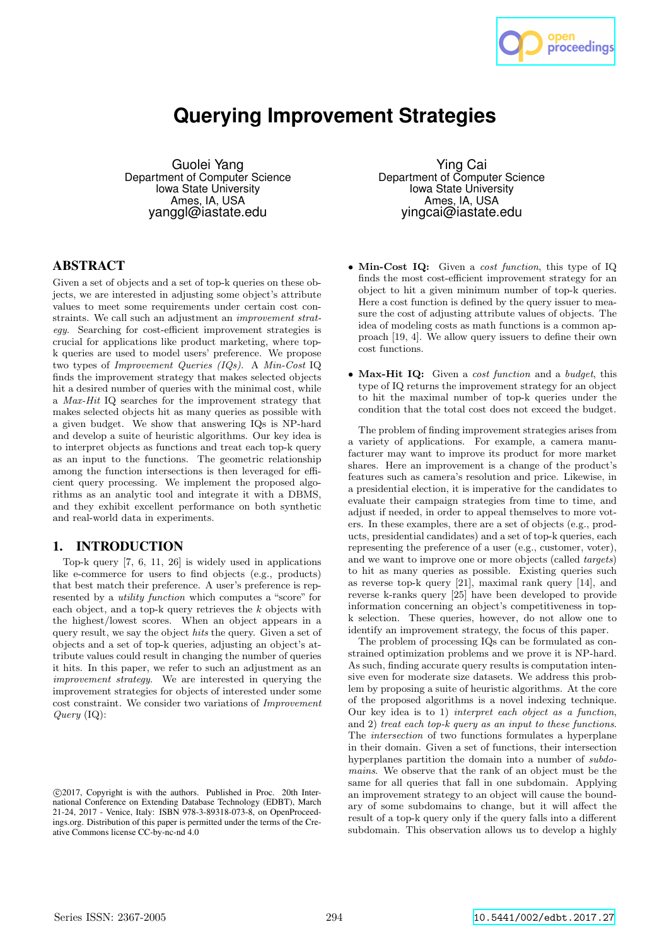

# **Querying Improvement Strategies**

Guolei Yang Department of Computer Science Iowa State University Ames, IA, USA yanggl@iastate.edu

# ABSTRACT

Given a set of objects and a set of top-k queries on these objects, we are interested in adjusting some object's attribute values to meet some requirements under certain cost constraints. We call such an adjustment an improvement strategy. Searching for cost-efficient improvement strategies is crucial for applications like product marketing, where topk queries are used to model users' preference. We propose two types of Improvement Queries (IQs). A Min-Cost IQ finds the improvement strategy that makes selected objects hit a desired number of queries with the minimal cost, while a Max-Hit IQ searches for the improvement strategy that makes selected objects hit as many queries as possible with a given budget. We show that answering IQs is NP-hard and develop a suite of heuristic algorithms. Our key idea is to interpret objects as functions and treat each top-k query as an input to the functions. The geometric relationship among the function intersections is then leveraged for efficient query processing. We implement the proposed algorithms as an analytic tool and integrate it with a DBMS, and they exhibit excellent performance on both synthetic and real-world data in experiments.

# 1. INTRODUCTION

Top-k query [7, 6, 11, 26] is widely used in applications like e-commerce for users to find objects (e.g., products) that best match their preference. A user's preference is represented by a utility function which computes a "score" for each object, and a top-k query retrieves the k objects with the highest/lowest scores. When an object appears in a query result, we say the object hits the query. Given a set of objects and a set of top-k queries, adjusting an object's attribute values could result in changing the number of queries it hits. In this paper, we refer to such an adjustment as an improvement strategy. We are interested in querying the improvement strategies for objects of interested under some cost constraint. We consider two variations of Improvement Query (IQ):

Ying Cai Department of Computer Science Iowa State University Ames, IA, USA yingcai@iastate.edu

- Min-Cost IQ: Given a cost function, this type of IQ finds the most cost-efficient improvement strategy for an object to hit a given minimum number of top-k queries. Here a cost function is defined by the query issuer to measure the cost of adjusting attribute values of objects. The idea of modeling costs as math functions is a common approach [19, 4]. We allow query issuers to define their own cost functions.
- Max-Hit IQ: Given a cost function and a budget, this type of IQ returns the improvement strategy for an object to hit the maximal number of top-k queries under the condition that the total cost does not exceed the budget.

The problem of finding improvement strategies arises from a variety of applications. For example, a camera manufacturer may want to improve its product for more market shares. Here an improvement is a change of the product's features such as camera's resolution and price. Likewise, in a presidential election, it is imperative for the candidates to evaluate their campaign strategies from time to time, and adjust if needed, in order to appeal themselves to more voters. In these examples, there are a set of objects (e.g., products, presidential candidates) and a set of top-k queries, each representing the preference of a user (e.g., customer, voter), and we want to improve one or more objects (called targets) to hit as many queries as possible. Existing queries such as reverse top-k query [21], maximal rank query [14], and reverse k-ranks query [25] have been developed to provide information concerning an object's competitiveness in topk selection. These queries, however, do not allow one to identify an improvement strategy, the focus of this paper.

The problem of processing IQs can be formulated as constrained optimization problems and we prove it is NP-hard. As such, finding accurate query results is computation intensive even for moderate size datasets. We address this problem by proposing a suite of heuristic algorithms. At the core of the proposed algorithms is a novel indexing technique. Our key idea is to 1) interpret each object as a function, and 2) treat each top-k query as an input to these functions. The intersection of two functions formulates a hyperplane in their domain. Given a set of functions, their intersection hyperplanes partition the domain into a number of subdomains. We observe that the rank of an object must be the same for all queries that fall in one subdomain. Applying an improvement strategy to an object will cause the boundary of some subdomains to change, but it will affect the result of a top-k query only if the query falls into a different subdomain. This observation allows us to develop a highly

c 2017, Copyright is with the authors. Published in Proc. 20th International Conference on Extending Database Technology (EDBT), March 21-24, 2017 - Venice, Italy: ISBN 978-3-89318-073-8, on OpenProceedings.org. Distribution of this paper is permitted under the terms of the Creative Commons license CC-by-nc-nd 4.0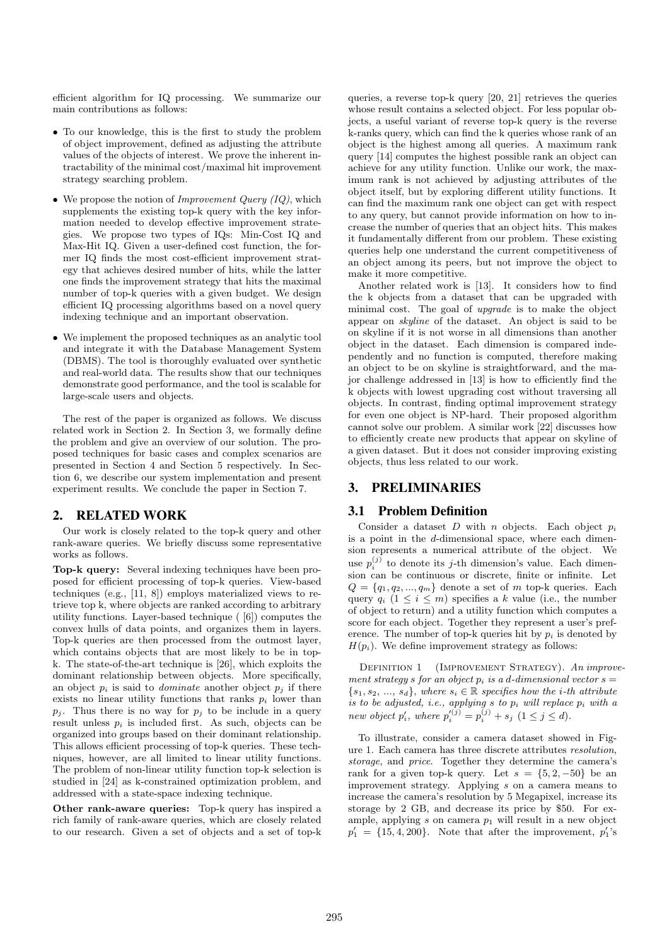efficient algorithm for IQ processing. We summarize our main contributions as follows:

- To our knowledge, this is the first to study the problem of object improvement, defined as adjusting the attribute values of the objects of interest. We prove the inherent intractability of the minimal cost/maximal hit improvement strategy searching problem.
- We propose the notion of *Improvement Query (IQ)*, which supplements the existing top-k query with the key information needed to develop effective improvement strategies. We propose two types of IQs: Min-Cost IQ and Max-Hit IQ. Given a user-defined cost function, the former IQ finds the most cost-efficient improvement strategy that achieves desired number of hits, while the latter one finds the improvement strategy that hits the maximal number of top-k queries with a given budget. We design efficient IQ processing algorithms based on a novel query indexing technique and an important observation.
- We implement the proposed techniques as an analytic tool and integrate it with the Database Management System (DBMS). The tool is thoroughly evaluated over synthetic and real-world data. The results show that our techniques demonstrate good performance, and the tool is scalable for large-scale users and objects.

The rest of the paper is organized as follows. We discuss related work in Section 2. In Section 3, we formally define the problem and give an overview of our solution. The proposed techniques for basic cases and complex scenarios are presented in Section 4 and Section 5 respectively. In Section 6, we describe our system implementation and present experiment results. We conclude the paper in Section 7.

# 2. RELATED WORK

Our work is closely related to the top-k query and other rank-aware queries. We briefly discuss some representative works as follows.

Top-k query: Several indexing techniques have been proposed for efficient processing of top-k queries. View-based techniques (e.g., [11, 8]) employs materialized views to retrieve top k, where objects are ranked according to arbitrary utility functions. Layer-based technique ( [6]) computes the convex hulls of data points, and organizes them in layers. Top-k queries are then processed from the outmost layer, which contains objects that are most likely to be in topk. The state-of-the-art technique is [26], which exploits the dominant relationship between objects. More specifically, an object  $p_i$  is said to *dominate* another object  $p_i$  if there exists no linear utility functions that ranks  $p_i$  lower than  $p_i$ . Thus there is no way for  $p_i$  to be include in a query result unless  $p_i$  is included first. As such, objects can be organized into groups based on their dominant relationship. This allows efficient processing of top-k queries. These techniques, however, are all limited to linear utility functions. The problem of non-linear utility function top-k selection is studied in [24] as k-constrained optimization problem, and addressed with a state-space indexing technique.

Other rank-aware queries: Top-k query has inspired a rich family of rank-aware queries, which are closely related to our research. Given a set of objects and a set of top-k

queries, a reverse top-k query [20, 21] retrieves the queries whose result contains a selected object. For less popular objects, a useful variant of reverse top-k query is the reverse k-ranks query, which can find the k queries whose rank of an object is the highest among all queries. A maximum rank query [14] computes the highest possible rank an object can achieve for any utility function. Unlike our work, the maximum rank is not achieved by adjusting attributes of the object itself, but by exploring different utility functions. It can find the maximum rank one object can get with respect to any query, but cannot provide information on how to increase the number of queries that an object hits. This makes it fundamentally different from our problem. These existing queries help one understand the current competitiveness of an object among its peers, but not improve the object to make it more competitive.

Another related work is [13]. It considers how to find the k objects from a dataset that can be upgraded with minimal cost. The goal of upgrade is to make the object appear on skyline of the dataset. An object is said to be on skyline if it is not worse in all dimensions than another object in the dataset. Each dimension is compared independently and no function is computed, therefore making an object to be on skyline is straightforward, and the major challenge addressed in [13] is how to efficiently find the k objects with lowest upgrading cost without traversing all objects. In contrast, finding optimal improvement strategy for even one object is NP-hard. Their proposed algorithm cannot solve our problem. A similar work [22] discusses how to efficiently create new products that appear on skyline of a given dataset. But it does not consider improving existing objects, thus less related to our work.

# 3. PRELIMINARIES

#### 3.1 Problem Definition

Consider a dataset  $D$  with  $n$  objects. Each object  $p_i$ is a point in the d-dimensional space, where each dimension represents a numerical attribute of the object. We use  $p_i^{(j)}$  to denote its j-th dimension's value. Each dimension can be continuous or discrete, finite or infinite. Let  $Q = \{q_1, q_2, ..., q_m\}$  denote a set of m top-k queries. Each query  $q_i$   $(1 \leq i \leq m)$  specifies a k value (i.e., the number of object to return) and a utility function which computes a score for each object. Together they represent a user's preference. The number of top-k queries hit by  $p_i$  is denoted by  $H(p_i)$ . We define improvement strategy as follows:

DEFINITION 1 (IMPROVEMENT STRATEGY). An improvement strategy s for an object  $p_i$  is a d-dimensional vector  $s =$  $\{s_1, s_2, ..., s_d\}$ , where  $s_i \in \mathbb{R}$  specifies how the *i*-th attribute is to be adjusted, i.e., applying  $s$  to  $p_i$  will replace  $p_i$  with a new object  $p'_i$ , where  $p'^{(j)}_i = p^{(j)}_i + s_j \ (1 \leq j \leq d)$ .

To illustrate, consider a camera dataset showed in Figure 1. Each camera has three discrete attributes resolution, storage, and price. Together they determine the camera's rank for a given top-k query. Let  $s = \{5, 2, -50\}$  be an improvement strategy. Applying s on a camera means to increase the camera's resolution by 5 Megapixel, increase its storage by 2 GB, and decrease its price by \$50. For example, applying  $s$  on camera  $p_1$  will result in a new object  $p'_1 = \{15, 4, 200\}$ . Note that after the improvement,  $p'_1$ 's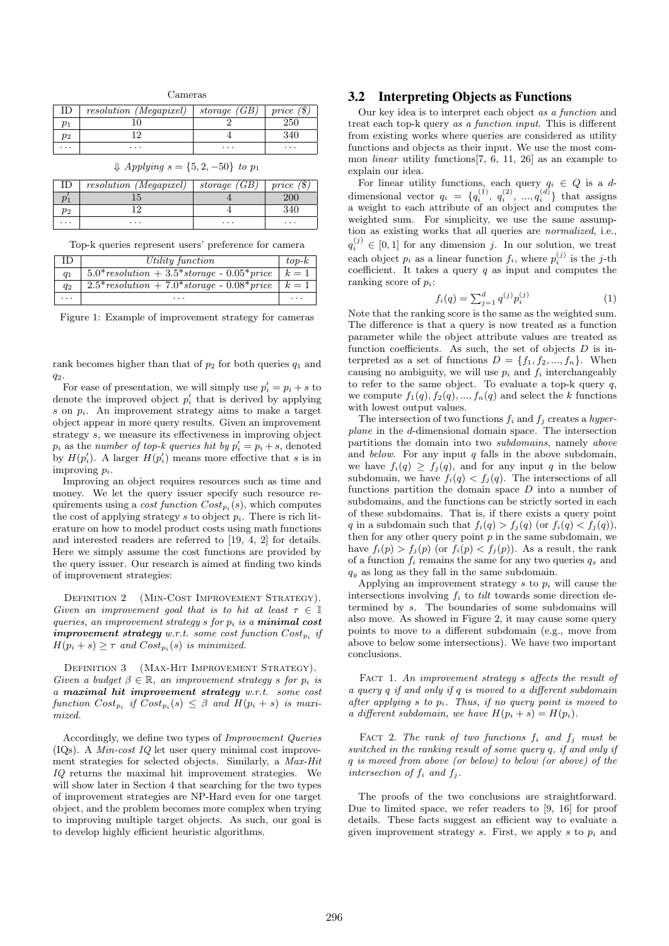| $\Box$ | resolution (Megapixel) | storage $(GB)$ | price(3) |
|--------|------------------------|----------------|----------|
|        |                        |                | 250      |
| $p_2$  |                        |                |          |
| .      | .                      | $\cdots$       | .        |
|        |                        |                |          |

Cameras

|       | <i>resolution</i> ( <i>Megapixel</i> ) | storage (GB) | price (S) |
|-------|----------------------------------------|--------------|-----------|
|       |                                        |              | 200       |
| $p_2$ |                                        |              | 340       |
| .     | .                                      | .            | .         |

 $↓$  Applying  $s = \{5, 2, -50\}$  to  $p_1$ 

|  |  |  |  |  | Top-k queries represent users' preference for camera |  |  |
|--|--|--|--|--|------------------------------------------------------|--|--|
|--|--|--|--|--|------------------------------------------------------|--|--|

| ID             | Utility function                               | $top-k$ |
|----------------|------------------------------------------------|---------|
| q <sub>1</sub> | $5.0* resolution + 3.5* storage - 0.05* price$ | $k=1$   |
| $q_2$          | $2.5* resolution + 7.0* storage - 0.08* price$ | $k=1$   |
|                |                                                |         |

Figure 1: Example of improvement strategy for cameras

rank becomes higher than that of  $p_2$  for both queries  $q_1$  and q2.

For ease of presentation, we will simply use  $p'_i = p_i + s$  to denote the improved object  $p'_i$  that is derived by applying s on  $p_i$ . An improvement strategy aims to make a target object appear in more query results. Given an improvement strategy s, we measure its effectiveness in improving object  $p_i$  as the number of top-k queries hit by  $p'_i = p_i + s$ , denoted by  $H(p'_i)$ . A larger  $H(p'_i)$  means more effective that s is in improving  $p_i$ .

Improving an object requires resources such as time and money. We let the query issuer specify such resource requirements using a *cost function*  $Cost_{p_i}(s)$ , which computes the cost of applying strategy s to object  $p_i$ . There is rich literature on how to model product costs using math functions and interested readers are referred to [19, 4, 2] for details. Here we simply assume the cost functions are provided by the query issuer. Our research is aimed at finding two kinds of improvement strategies:

DEFINITION 2 (MIN-COST IMPROVEMENT STRATEGY). Given an improvement goal that is to hit at least  $\tau \in \mathbb{I}$ queries, an improvement strategy s for  $p_i$  is a **minimal cost**  $\emph{improvement strategy w.r.t. some cost function } Cost_{p_i} \emph{ if }$  $H(p_i + s) \geq \tau$  and  $Cost_{p_i}(s)$  is minimized.

DEFINITION 3 (MAX-HIT IMPROVEMENT STRATEGY). Given a budget  $\beta \in \mathbb{R}$ , an improvement strategy s for  $p_i$  is a maximal hit improvement strategy w.r.t. some cost function  $Cost_{p_i}$  if  $Cost_{p_i}(s) \leq \beta$  and  $H(p_i + s)$  is maximized.

Accordingly, we define two types of Improvement Queries (IQs). A Min-cost IQ let user query minimal cost improvement strategies for selected objects. Similarly, a Max-Hit IQ returns the maximal hit improvement strategies. We will show later in Section 4 that searching for the two types of improvement strategies are NP-Hard even for one target object, and the problem becomes more complex when trying to improving multiple target objects. As such, our goal is to develop highly efficient heuristic algorithms.

#### 3.2 Interpreting Objects as Functions

Our key idea is to interpret each object as a function and treat each top-k query as a function input. This is different from existing works where queries are considered as utility functions and objects as their input. We use the most common linear utility functions[7, 6, 11, 26] as an example to explain our idea.

For linear utility functions, each query  $q_i \in Q$  is a ddimensional vector  $q_i = \{q_i^{(1)}, q_i^{(2)}, ..., q_i^{(d)}\}$  that assigns a weight to each attribute of an object and computes the weighted sum. For simplicity, we use the same assumption as existing works that all queries are normalized, i.e.,  $q_i^{(j)} \in [0,1]$  for any dimension j. In our solution, we treat each object  $p_i$  as a linear function  $f_i$ , where  $p_i^{(j)}$  is the j-th coefficient. It takes a query  $q$  as input and computes the ranking score of  $p_i$ :

$$
f_i(q) = \sum_{j=1}^d q^{(j)} p_i^{(j)} \tag{1}
$$

Note that the ranking score is the same as the weighted sum. The difference is that a query is now treated as a function parameter while the object attribute values are treated as function coefficients. As such, the set of objects  $D$  is interpreted as a set of functions  $D = \{f_1, f_2, ..., f_n\}$ . When causing no ambiguity, we will use  $p_i$  and  $f_i$  interchangeably to refer to the same object. To evaluate a top-k query  $q$ , we compute  $f_1(q), f_2(q), ..., f_n(q)$  and select the k functions with lowest output values.

The intersection of two functions  $f_i$  and  $f_j$  creates a hyperplane in the d-dimensional domain space. The intersection partitions the domain into two subdomains, namely above and below. For any input  $q$  falls in the above subdomain, we have  $f_i(q) > f_i(q)$ , and for any input q in the below subdomain, we have  $f_i(q) < f_j(q)$ . The intersections of all functions partition the domain space  $D$  into a number of subdomains, and the functions can be strictly sorted in each of these subdomains. That is, if there exists a query point q in a subdomain such that  $f_i(q) > f_j(q)$  (or  $f_i(q) < f_j(q)$ ), then for any other query point  $p$  in the same subdomain, we have  $f_i(p) > f_j(p)$  (or  $f_i(p) < f_j(p)$ ). As a result, the rank of a function  $f_i$  remains the same for any two queries  $q_x$  and  $q_y$  as long as they fall in the same subdomain.

Applying an improvement strategy s to  $p_i$  will cause the intersections involving  $f_i$  to *tilt* towards some direction determined by s. The boundaries of some subdomains will also move. As showed in Figure 2, it may cause some query points to move to a different subdomain (e.g., move from above to below some intersections). We have two important conclusions.

FACT 1. An improvement strategy s affects the result of a query q if and only if q is moved to a different subdomain after applying s to  $p_i$ . Thus, if no query point is moved to a different subdomain, we have  $H(p_i + s) = H(p_i)$ .

FACT 2. The rank of two functions  $f_i$  and  $f_j$  must be switched in the ranking result of some query q, if and only if q is moved from above (or below) to below (or above) of the intersection of  $f_i$  and  $f_j$ .

The proofs of the two conclusions are straightforward. Due to limited space, we refer readers to [9, 16] for proof details. These facts suggest an efficient way to evaluate a given improvement strategy s. First, we apply s to  $p_i$  and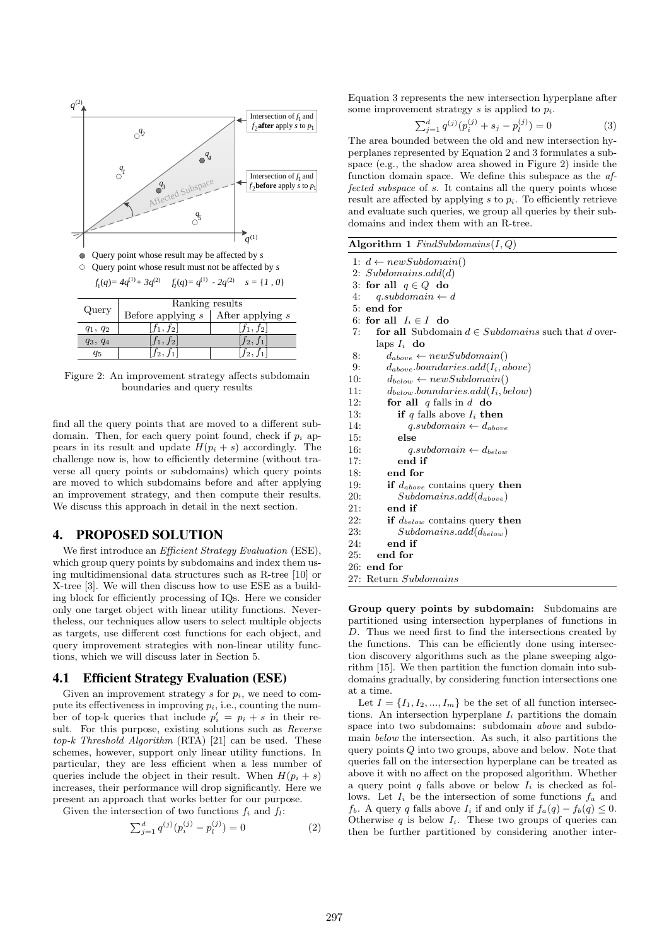

Figure 2: An improvement strategy affects subdomain boundaries and query results

find all the query points that are moved to a different subdomain. Then, for each query point found, check if  $p_i$  appears in its result and update  $H(p_i + s)$  accordingly. The challenge now is, how to efficiently determine (without traverse all query points or subdomains) which query points are moved to which subdomains before and after applying an improvement strategy, and then compute their results. We discuss this approach in detail in the next section.

# 4. PROPOSED SOLUTION

We first introduce an *Efficient Strategy Evaluation* (ESE), which group query points by subdomains and index them using multidimensional data structures such as R-tree [10] or X-tree [3]. We will then discuss how to use ESE as a building block for efficiently processing of IQs. Here we consider only one target object with linear utility functions. Nevertheless, our techniques allow users to select multiple objects as targets, use different cost functions for each object, and query improvement strategies with non-linear utility functions, which we will discuss later in Section 5.

# 4.1 Efficient Strategy Evaluation (ESE)

Given an improvement strategy s for  $p_i$ , we need to compute its effectiveness in improving  $p_i$ , i.e., counting the number of top-k queries that include  $p'_i = p_i + s$  in their result. For this purpose, existing solutions such as Reverse  $top-k$  Threshold Algorithm (RTA) [21] can be used. These schemes, however, support only linear utility functions. In particular, they are less efficient when a less number of queries include the object in their result. When  $H(p_i + s)$ increases, their performance will drop significantly. Here we present an approach that works better for our purpose.

Given the intersection of two functions  $f_i$  and  $f_i$ :

$$
\sum_{j=1}^{d} q^{(j)} (p_i^{(j)} - p_l^{(j)}) = 0
$$
 (2)

Equation 3 represents the new intersection hyperplane after some improvement strategy s is applied to  $p_i$ .

$$
\sum_{j=1}^{d} q^{(j)}(p_i^{(j)} + s_j - p_l^{(j)}) = 0
$$
\n(3)

The area bounded between the old and new intersection hyperplanes represented by Equation 2 and 3 formulates a subspace (e.g., the shadow area showed in Figure 2) inside the function domain space. We define this subspace as the affected subspace of s. It contains all the query points whose result are affected by applying  $s$  to  $p_i$ . To efficiently retrieve and evaluate such queries, we group all queries by their subdomains and index them with an R-tree.

|  |  | Algorithm 1 $FindSubdomains (I, Q)$ |  |  |  |
|--|--|-------------------------------------|--|--|--|
|--|--|-------------------------------------|--|--|--|

|     | 1: $d \leftarrow newSubdomain()$                              |
|-----|---------------------------------------------------------------|
|     | 2: $Subdomains.add(d)$                                        |
|     | 3: for all $q \in Q$ do                                       |
| 4:  | $q.subdomain \leftarrow d$                                    |
|     | $5:$ end for                                                  |
|     | 6: for all $I_i \in I$ do                                     |
| 7:  | <b>for all</b> Subdomain $d \in Subdomains$ such that d over- |
|     | laps $I_i$ do                                                 |
| 8:  | $d_{above} \leftarrow newSubdomain()$                         |
| 9:  | $d_{above}.boundaries.add(I_i, above)$                        |
| 10: | $d_{below} \leftarrow newSubdomain()$                         |
| 11: | $d_{below}.boundaries.add(I_i, below)$                        |
| 12: | for all q falls in d do                                       |
| 13: | if q falls above $I_i$ then                                   |
| 14: | $q.subdomain \leftarrow d_{above}$                            |
| 15: | else                                                          |
| 16: | $q.subdomain \leftarrow d_{below}$                            |
| 17: | end if                                                        |
| 18: | end for                                                       |
| 19: | if $d_{above}$ contains query then                            |
| 20: | $Subdomains.add(d_{above})$                                   |
| 21: | end if                                                        |
| 22: | if $d_{below}$ contains query then                            |
| 23: | $Subdomains.add(d_{below})$                                   |
| 24: | end if                                                        |
| 25: | end for                                                       |
|     | $26:$ end for                                                 |
|     | 27: Return Subdomains                                         |
|     |                                                               |

Group query points by subdomain: Subdomains are partitioned using intersection hyperplanes of functions in D. Thus we need first to find the intersections created by the functions. This can be efficiently done using intersection discovery algorithms such as the plane sweeping algorithm [15]. We then partition the function domain into subdomains gradually, by considering function intersections one at a time.

Let  $I = \{I_1, I_2, ..., I_m\}$  be the set of all function intersections. An intersection hyperplane  $I_i$  partitions the domain space into two subdomains: subdomain above and subdomain below the intersection. As such, it also partitions the query points  $Q$  into two groups, above and below. Note that queries fall on the intersection hyperplane can be treated as above it with no affect on the proposed algorithm. Whether a query point q falls above or below  $I_i$  is checked as follows. Let  $I_i$  be the intersection of some functions  $f_a$  and  $f_b$ . A query q falls above  $I_i$  if and only if  $f_a(q) - f_b(q) \leq 0$ . Otherwise  $q$  is below  $I_i$ . These two groups of queries can then be further partitioned by considering another inter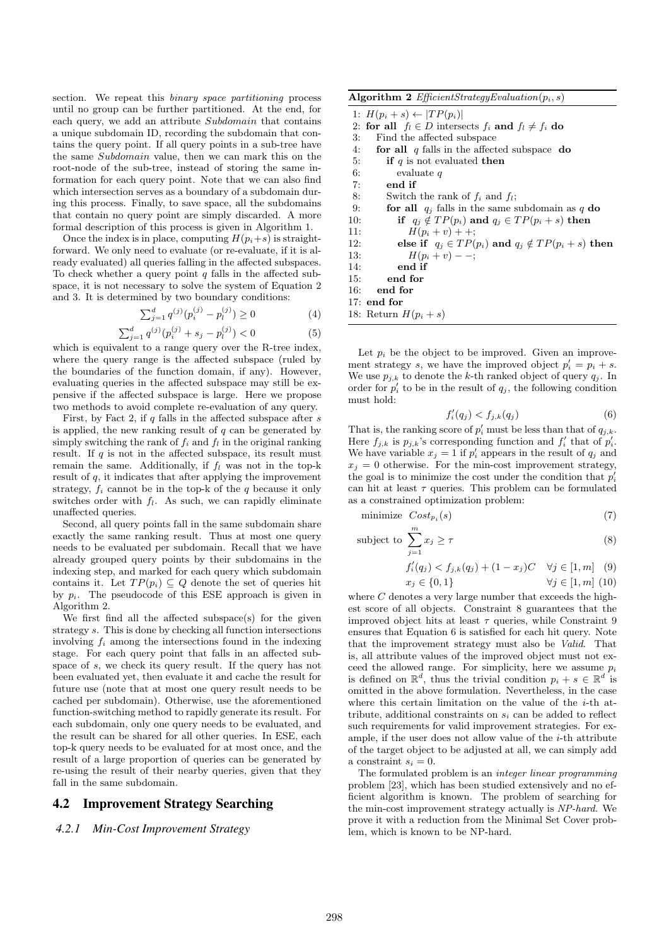section. We repeat this binary space partitioning process until no group can be further partitioned. At the end, for each query, we add an attribute Subdomain that contains a unique subdomain ID, recording the subdomain that contains the query point. If all query points in a sub-tree have the same Subdomain value, then we can mark this on the root-node of the sub-tree, instead of storing the same information for each query point. Note that we can also find which intersection serves as a boundary of a subdomain during this process. Finally, to save space, all the subdomains that contain no query point are simply discarded. A more formal description of this process is given in Algorithm 1.

Once the index is in place, computing  $H(p_i+s)$  is straightforward. We only need to evaluate (or re-evaluate, if it is already evaluated) all queries falling in the affected subspaces. To check whether a query point  $q$  falls in the affected subspace, it is not necessary to solve the system of Equation 2 and 3. It is determined by two boundary conditions:

$$
\sum_{j=1}^{d} q^{(j)}(p_i^{(j)} - p_l^{(j)}) \ge 0
$$
\n(4)

$$
\sum_{j=1}^{d} q^{(j)}(p_i^{(j)} + s_j - p_l^{(j)}) < 0 \tag{5}
$$

which is equivalent to a range query over the R-tree index, where the query range is the affected subspace (ruled by the boundaries of the function domain, if any). However, evaluating queries in the affected subspace may still be expensive if the affected subspace is large. Here we propose two methods to avoid complete re-evaluation of any query.

First, by Fact 2, if  $q$  falls in the affected subspace after  $s$ is applied, the new ranking result of  $q$  can be generated by simply switching the rank of  $f_i$  and  $f_l$  in the original ranking result. If  $q$  is not in the affected subspace, its result must remain the same. Additionally, if  $f_l$  was not in the top-k result of  $q$ , it indicates that after applying the improvement strategy,  $f_i$  cannot be in the top-k of the q because it only switches order with  $f_l$ . As such, we can rapidly eliminate unaffected queries.

Second, all query points fall in the same subdomain share exactly the same ranking result. Thus at most one query needs to be evaluated per subdomain. Recall that we have already grouped query points by their subdomains in the indexing step, and marked for each query which subdomain contains it. Let  $TP(p_i) \subseteq Q$  denote the set of queries hit by  $p_i$ . The pseudocode of this ESE approach is given in Algorithm 2.

We first find all the affected subspace(s) for the given strategy s. This is done by checking all function intersections involving  $f_i$  among the intersections found in the indexing stage. For each query point that falls in an affected subspace of s, we check its query result. If the query has not been evaluated yet, then evaluate it and cache the result for future use (note that at most one query result needs to be cached per subdomain). Otherwise, use the aforementioned function-switching method to rapidly generate its result. For each subdomain, only one query needs to be evaluated, and the result can be shared for all other queries. In ESE, each top-k query needs to be evaluated for at most once, and the result of a large proportion of queries can be generated by re-using the result of their nearby queries, given that they fall in the same subdomain.

#### 4.2 Improvement Strategy Searching

#### *4.2.1 Min-Cost Improvement Strategy*

Algorithm 2  $EfficientStrategyEvaluation(p_i, s)$ 

| 1: $H(p_i + s) \leftarrow  TP(p_i) $                               |
|--------------------------------------------------------------------|
| 2: for all $f_l \in D$ intersects $f_i$ and $f_l \neq f_i$ do      |
| 3:<br>Find the affected subspace                                   |
| for all $q$ falls in the affected subspace do<br>4:                |
| 5:<br>if q is not evaluated then                                   |
| 6:<br>evaluate $q$                                                 |
| 7:<br>end if                                                       |
| 8:<br>Switch the rank of $f_i$ and $f_i$ ;                         |
| 9:<br>for all $q_j$ falls in the same subdomain as q do            |
| if $q_i \notin TP(p_i)$ and $q_i \in TP(p_i + s)$ then<br>10:      |
| $H(p_i + v) + +$ :<br>11:                                          |
| else if $q_i \in TP(p_i)$ and $q_i \notin TP(p_i + s)$ then<br>12: |
| $H(p_i + v) -$<br>13:                                              |
| end if<br>14:                                                      |
| end for<br>15:                                                     |
| end for<br>16:                                                     |
| $17:$ end for                                                      |
| 18: Return $H(p_i + s)$                                            |

Let  $p_i$  be the object to be improved. Given an improvement strategy s, we have the improved object  $p'_i = p_i + s$ . We use  $p_{j,k}$  to denote the k-th ranked object of query  $q_j$ . In order for  $p'_i$  to be in the result of  $q_j$ , the following condition must hold:

$$
f_i'(q_j) < f_{j,k}(q_j) \tag{6}
$$

That is, the ranking score of  $p'_i$  must be less than that of  $q_{j,k}$ . Here  $f_{j,k}$  is  $p_{j,k}$ 's corresponding function and  $f'_i$  that of  $p'_i$ . We have variable  $x_j = 1$  if  $p'_i$  appears in the result of  $q_j$  and  $x_i = 0$  otherwise. For the min-cost improvement strategy, the goal is to minimize the cost under the condition that  $p'_i$ can hit at least  $\tau$  queries. This problem can be formulated as a constrained optimization problem:

minimize  $Cost_{p_i}(s)$  $(s)$  (7)

subject to 
$$
\sum_{j=1}^{m} x_j \geq \tau
$$
 (8)

$$
f_i'(q_j) < f_{j,k}(q_j) + (1 - x_j)C \quad \forall j \in [1, m] \tag{9}
$$

$$
x_j \in \{0, 1\} \qquad \forall j \in [1, m] \tag{10}
$$

where  $C$  denotes a very large number that exceeds the highest score of all objects. Constraint 8 guarantees that the improved object hits at least  $\tau$  queries, while Constraint 9 ensures that Equation 6 is satisfied for each hit query. Note that the improvement strategy must also be Valid. That is, all attribute values of the improved object must not exceed the allowed range. For simplicity, here we assume  $p_i$ is defined on  $\mathbb{R}^d$ , thus the trivial condition  $p_i + s \in \mathbb{R}^d$  is omitted in the above formulation. Nevertheless, in the case where this certain limitation on the value of the  $i$ -th attribute, additional constraints on  $s_i$  can be added to reflect such requirements for valid improvement strategies. For example, if the user does not allow value of the  $i$ -th attribute of the target object to be adjusted at all, we can simply add a constraint  $s_i = 0$ .

The formulated problem is an integer linear programming problem [23], which has been studied extensively and no efficient algorithm is known. The problem of searching for the min-cost improvement strategy actually is NP-hard. We prove it with a reduction from the Minimal Set Cover problem, which is known to be NP-hard.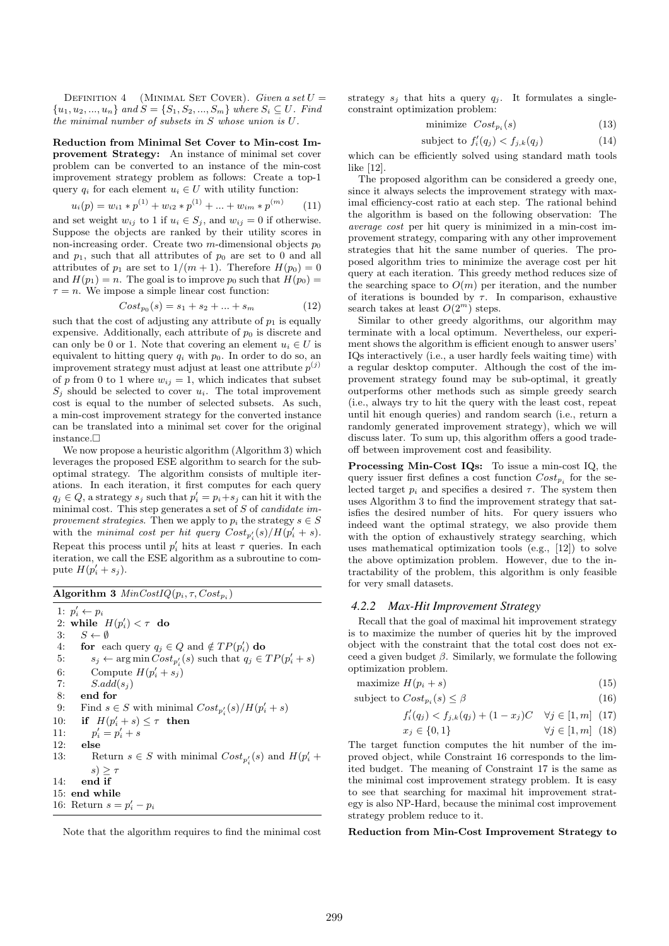DEFINITION 4 (MINIMAL SET COVER). Given a set  $U =$  $\{u_1, u_2, ..., u_n\}$  and  $S = \{S_1, S_2, ..., S_m\}$  where  $S_i \subseteq U$ . Find the minimal number of subsets in S whose union is U.

Reduction from Minimal Set Cover to Min-cost Improvement Strategy: An instance of minimal set cover problem can be converted to an instance of the min-cost improvement strategy problem as follows: Create a top-1 query  $q_i$  for each element  $u_i \in U$  with utility function:

$$
u_i(p) = w_{i1} * p^{(1)} + w_{i2} * p^{(1)} + \dots + w_{im} * p^{(m)} \qquad (11)
$$

and set weight  $w_{ij}$  to 1 if  $u_i \in S_j$ , and  $w_{ij} = 0$  if otherwise. Suppose the objects are ranked by their utility scores in non-increasing order. Create two  $m$ -dimensional objects  $p_0$ and  $p_1$ , such that all attributes of  $p_0$  are set to 0 and all attributes of  $p_1$  are set to  $1/(m+1)$ . Therefore  $H(p_0) = 0$ and  $H(p_1) = n$ . The goal is to improve  $p_0$  such that  $H(p_0) =$  $\tau = n$ . We impose a simple linear cost function:

$$
Cost_{p_0}(s) = s_1 + s_2 + \dots + s_m \tag{12}
$$

such that the cost of adjusting any attribute of  $p_1$  is equally expensive. Additionally, each attribute of  $p_0$  is discrete and can only be 0 or 1. Note that covering an element  $u_i \in U$  is equivalent to hitting query  $q_i$  with  $p_0$ . In order to do so, an improvement strategy must adjust at least one attribute  $p^{(j)}$ of p from 0 to 1 where  $w_{ij} = 1$ , which indicates that subset  $S_i$  should be selected to cover  $u_i$ . The total improvement cost is equal to the number of selected subsets. As such, a min-cost improvement strategy for the converted instance can be translated into a minimal set cover for the original instance.

We now propose a heuristic algorithm (Algorithm 3) which leverages the proposed ESE algorithm to search for the suboptimal strategy. The algorithm consists of multiple iterations. In each iteration, it first computes for each query  $q_j \in Q$ , a strategy  $s_j$  such that  $p'_i = p_i + s_j$  can hit it with the minimal cost. This step generates a set of  $S$  of *candidate im*provement strategies. Then we apply to  $p_i$  the strategy  $s \in S$ with the minimal cost per hit query  $Cost_{p'_i}(s)/H(p'_i + s)$ . Repeat this process until  $p'_i$  hits at least  $\tau$  queries. In each iteration, we call the ESE algorithm as a subroutine to compute  $H(p'_i + s_j)$ .

Algorithm 3  $MinCostIQ(p_i, \tau, Cost_{p_i})$ 

1:  $p'_i \leftarrow p_i$ 2: while  $H(p'_i) < \tau$  do 3:  $S \leftarrow \emptyset$ 4: for each query  $q_j \in Q$  and  $\notin TP(p'_i)$  do 5:  $s_j \leftarrow \arg \min Cost_{p'_i}(s)$  such that  $q_j \in TP(p'_i + s)$ 6: Compute  $H(p'_i + s_j)$ 7:  $S.add(s_i)$ 8: end for 9: Find  $s \in S$  with minimal  $Cost_{p'_i}(s)/H(p'_i + s)$ 10: if  $H(p'_i + s) \leq \tau$  then  $11:$  $i' = p'_{i} + s$ 12: else 13: Return  $s \in S$  with minimal  $Cost_{p'_i}(s)$  and  $H(p'_i +$  $s$ )  $>$   $\tau$ 14: end if 15: end while 16: Return  $s = p'_i - p_i$ 

Note that the algorithm requires to find the minimal cost

strategy  $s_j$  that hits a query  $q_j$ . It formulates a singleconstraint optimization problem:

$$
\text{minimize } Cost_{p_i}(s) \tag{13}
$$

$$
subject to f'_{i}(q_{j}) < f_{j,k}(q_{j})
$$
\n
$$
(14)
$$

which can be efficiently solved using standard math tools like [12].

The proposed algorithm can be considered a greedy one, since it always selects the improvement strategy with maximal efficiency-cost ratio at each step. The rational behind the algorithm is based on the following observation: The average cost per hit query is minimized in a min-cost improvement strategy, comparing with any other improvement strategies that hit the same number of queries. The proposed algorithm tries to minimize the average cost per hit query at each iteration. This greedy method reduces size of the searching space to  $O(m)$  per iteration, and the number of iterations is bounded by  $\tau$ . In comparison, exhaustive search takes at least  $O(2^m)$  steps.

Similar to other greedy algorithms, our algorithm may terminate with a local optimum. Nevertheless, our experiment shows the algorithm is efficient enough to answer users' IQs interactively (i.e., a user hardly feels waiting time) with a regular desktop computer. Although the cost of the improvement strategy found may be sub-optimal, it greatly outperforms other methods such as simple greedy search (i.e., always try to hit the query with the least cost, repeat until hit enough queries) and random search (i.e., return a randomly generated improvement strategy), which we will discuss later. To sum up, this algorithm offers a good tradeoff between improvement cost and feasibility.

Processing Min-Cost IQs: To issue a min-cost IQ, the query issuer first defines a cost function  $Cost_{p_i}$  for the selected target  $p_i$  and specifies a desired  $\tau$ . The system then uses Algorithm 3 to find the improvement strategy that satisfies the desired number of hits. For query issuers who indeed want the optimal strategy, we also provide them with the option of exhaustively strategy searching, which uses mathematical optimization tools (e.g., [12]) to solve the above optimization problem. However, due to the intractability of the problem, this algorithm is only feasible for very small datasets.

#### *4.2.2 Max-Hit Improvement Strategy*

Recall that the goal of maximal hit improvement strategy is to maximize the number of queries hit by the improved object with the constraint that the total cost does not exceed a given budget  $\beta$ . Similarly, we formulate the following optimization problem.

$$
maximize H(p_i + s)
$$
\n(15)

subject to  $Cost_{p_i}(s) \leq \beta$  (16)

$$
f'_{i}(q_{j}) < f_{j,k}(q_{j}) + (1 - x_{j})C \quad \forall j \in [1, m] \tag{17}
$$

$$
x_j \in \{0, 1\} \qquad \forall j \in [1, m] \tag{18}
$$

The target function computes the hit number of the improved object, while Constraint 16 corresponds to the limited budget. The meaning of Constraint 17 is the same as the minimal cost improvement strategy problem. It is easy to see that searching for maximal hit improvement strategy is also NP-Hard, because the minimal cost improvement strategy problem reduce to it.

Reduction from Min-Cost Improvement Strategy to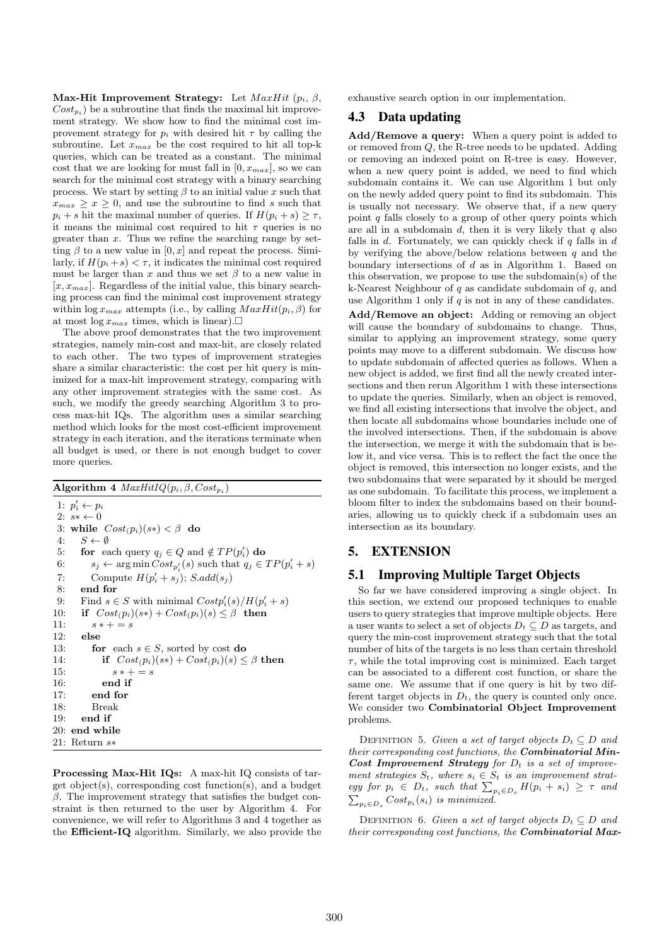Max-Hit Improvement Strategy: Let  $MaxHit(p_i, \beta, \beta)$  $Cost_{p_i}$ ) be a subroutine that finds the maximal hit improvement strategy. We show how to find the minimal cost improvement strategy for  $p_i$  with desired hit  $\tau$  by calling the subroutine. Let  $x_{max}$  be the cost required to hit all top-k queries, which can be treated as a constant. The minimal cost that we are looking for must fall in  $[0, x_{max}]$ , so we can search for the minimal cost strategy with a binary searching process. We start by setting  $\beta$  to an initial value x such that  $x_{max} > x > 0$ , and use the subroutine to find s such that  $p_i + s$  hit the maximal number of queries. If  $H(p_i + s) \geq \tau$ , it means the minimal cost required to hit  $\tau$  queries is no greater than  $x$ . Thus we refine the searching range by setting  $\beta$  to a new value in  $[0, x]$  and repeat the process. Similarly, if  $H(p_i + s) < \tau$ , it indicates the minimal cost required must be larger than x and thus we set  $\beta$  to a new value in  $[x, x_{max}]$ . Regardless of the initial value, this binary searching process can find the minimal cost improvement strategy within  $\log x_{max}$  attempts (i.e., by calling  $MaxHit(p_i, \beta)$  for at most  $\log x_{max}$  times, which is linear).

The above proof demonstrates that the two improvement strategies, namely min-cost and max-hit, are closely related to each other. The two types of improvement strategies share a similar characteristic: the cost per hit query is minimized for a max-hit improvement strategy, comparing with any other improvement strategies with the same cost. As such, we modify the greedy searching Algorithm 3 to process max-hit IQs. The algorithm uses a similar searching method which looks for the most cost-efficient improvement strategy in each iteration, and the iterations terminate when all budget is used, or there is not enough budget to cover more queries.

Algorithm 4  $MaxHitIQ(p_i, \beta, Cost_{p_i})$ 

1:  $p'_i \leftarrow p_i$ 2:  $s* \leftarrow 0$ 3: while  $Cost(p_i)(s*) < \beta$  do 4:  $S \leftarrow \emptyset$  $S \leftarrow \emptyset$ 5: for each query  $q_j \in Q$  and  $\notin TP(p'_i)$  do 6:  $s_j \leftarrow \arg \min Cost_{p'_i}(s)$  such that  $q_j \in TP(p'_i + s)$ 7: Compute  $H(p'_i + s_j); S.add(s_j)$ 8: end for 9: Find  $s \in S$  with minimal  $Costp'_i(s)/H(p'_i + s)$ 10: if  $Cost(p_i)(s*) + Cost(p_i)(s) \leq \beta$  then 11:  $s * + = s$ 12: else 13: **for** each  $s \in S$ , sorted by cost **do** 14: **if**  $Cost(p_i)(s*) + Cost(p_i)(s) \leq \beta$  then<br>15:  $s* + = s$  $s * + = s$ 16: end if 17: end for 18: Break 19: end if 20: end while 21: Return s∗

Processing Max-Hit IQs: A max-hit IQ consists of target object(s), corresponding cost function(s), and a budget  $β$ . The improvement strategy that satisfies the budget constraint is then returned to the user by Algorithm 4. For convenience, we will refer to Algorithms 3 and 4 together as the Efficient-IQ algorithm. Similarly, we also provide the exhaustive search option in our implementation.

# 4.3 Data updating

Add/Remove a query: When a query point is added to or removed from Q, the R-tree needs to be updated. Adding or removing an indexed point on R-tree is easy. However, when a new query point is added, we need to find which subdomain contains it. We can use Algorithm 1 but only on the newly added query point to find its subdomain. This is usually not necessary. We observe that, if a new query point  $q$  falls closely to a group of other query points which are all in a subdomain  $d$ , then it is very likely that  $q$  also falls in  $d$ . Fortunately, we can quickly check if  $q$  falls in  $d$ by verifying the above/below relations between  $q$  and the boundary intersections of d as in Algorithm 1. Based on this observation, we propose to use the subdomain(s) of the k-Nearest Neighbour of  $q$  as candidate subdomain of  $q$ , and use Algorithm 1 only if  $q$  is not in any of these candidates.

Add/Remove an object: Adding or removing an object will cause the boundary of subdomains to change. Thus, similar to applying an improvement strategy, some query points may move to a different subdomain. We discuss how to update subdomain of affected queries as follows. When a new object is added, we first find all the newly created intersections and then rerun Algorithm 1 with these intersections to update the queries. Similarly, when an object is removed, we find all existing intersections that involve the object, and then locate all subdomains whose boundaries include one of the involved intersections. Then, if the subdomain is above the intersection, we merge it with the subdomain that is below it, and vice versa. This is to reflect the fact the once the object is removed, this intersection no longer exists, and the two subdomains that were separated by it should be merged as one subdomain. To facilitate this process, we implement a bloom filter to index the subdomains based on their boundaries, allowing us to quickly check if a subdomain uses an intersection as its boundary.

# 5. EXTENSION

# 5.1 Improving Multiple Target Objects

So far we have considered improving a single object. In this section, we extend our proposed techniques to enable users to query strategies that improve multiple objects. Here a user wants to select a set of objects  $D_t \subseteq D$  as targets, and query the min-cost improvement strategy such that the total number of hits of the targets is no less than certain threshold  $\tau$ , while the total improving cost is minimized. Each target can be associated to a different cost function, or share the same one. We assume that if one query is hit by two different target objects in  $D_t$ , the query is counted only once. We consider two Combinatorial Object Improvement problems.

DEFINITION 5. Given a set of target objects  $D_t \subseteq D$  and their corresponding cost functions, the Combinatorial Min-Cost Improvement Strategy for  $D_t$  is a set of improvement strategies  $S_t$ , where  $s_i \in S_t$  is an improvement strategy for  $p_i \in D_t$ , such that  $\sum_{p_i \in D_s} H(p_i + s_i) \geq \tau$  and  $\sum_{p_i \in D_s} Cost_{p_i}(s_i)$  is minimized.

DEFINITION 6. Given a set of target objects  $D_t \subseteq D$  and their corresponding cost functions, the Combinatorial Max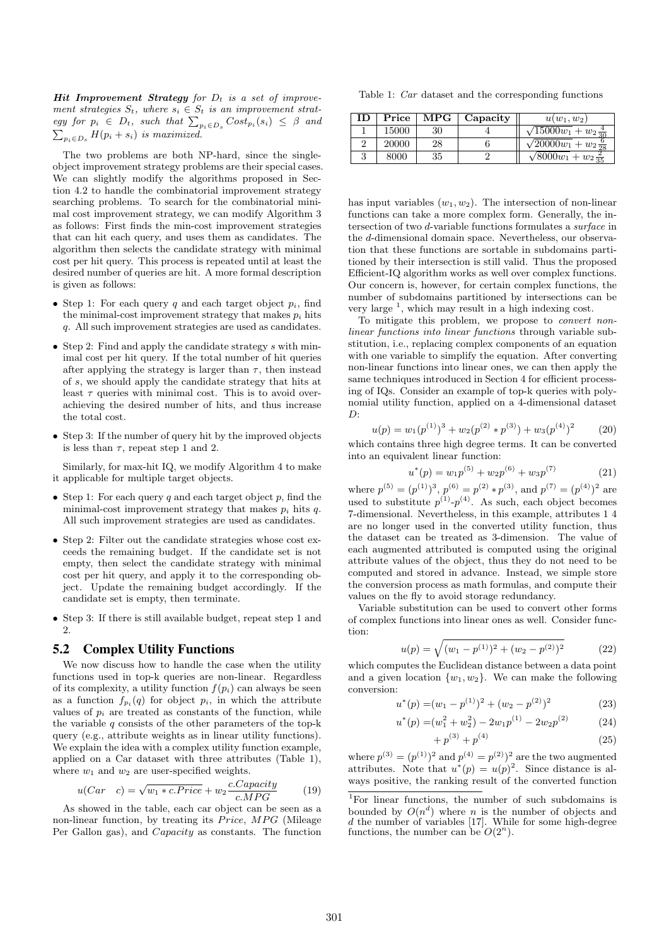**Hit Improvement Strategy** for  $D_t$  is a set of improvement strategies  $S_t$ , where  $s_i \in S_t$  is an improvement strategy for  $p_i \in D_t$ , such that  $\sum_{p_i \in D_s} Cost_{p_i}(s_i) \leq \beta$  and  $\sum_{p_i \in D_s} H(p_i + s_i)$  is maximized.

The two problems are both NP-hard, since the singleobject improvement strategy problems are their special cases. We can slightly modify the algorithms proposed in Section 4.2 to handle the combinatorial improvement strategy searching problems. To search for the combinatorial minimal cost improvement strategy, we can modify Algorithm 3 as follows: First finds the min-cost improvement strategies that can hit each query, and uses them as candidates. The algorithm then selects the candidate strategy with minimal cost per hit query. This process is repeated until at least the desired number of queries are hit. A more formal description is given as follows:

- Step 1: For each query q and each target object  $p_i$ , find the minimal-cost improvement strategy that makes  $p_i$  hits q. All such improvement strategies are used as candidates.
- Step 2: Find and apply the candidate strategy s with minimal cost per hit query. If the total number of hit queries after applying the strategy is larger than  $\tau$ , then instead of s, we should apply the candidate strategy that hits at least  $\tau$  queries with minimal cost. This is to avoid overachieving the desired number of hits, and thus increase the total cost.
- Step 3: If the number of query hit by the improved objects is less than  $\tau$ , repeat step 1 and 2.

Similarly, for max-hit IQ, we modify Algorithm 4 to make it applicable for multiple target objects.

- Step 1: For each query q and each target object  $p$ , find the minimal-cost improvement strategy that makes  $p_i$  hits q. All such improvement strategies are used as candidates.
- Step 2: Filter out the candidate strategies whose cost exceeds the remaining budget. If the candidate set is not empty, then select the candidate strategy with minimal cost per hit query, and apply it to the corresponding object. Update the remaining budget accordingly. If the candidate set is empty, then terminate.
- Step 3: If there is still available budget, repeat step 1 and 2.

# 5.2 Complex Utility Functions

We now discuss how to handle the case when the utility functions used in top-k queries are non-linear. Regardless of its complexity, a utility function  $f(p_i)$  can always be seen as a function  $f_{p_i}(q)$  for object  $p_i$ , in which the attribute values of  $p_i$  are treated as constants of the function, while the variable  $q$  consists of the other parameters of the top-k query (e.g., attribute weights as in linear utility functions). We explain the idea with a complex utility function example, applied on a Car dataset with three attributes (Table 1), where  $w_1$  and  $w_2$  are user-specified weights.

$$
u(Car \quad c) = \sqrt{w_1 * c.Price} + w_2 \frac{c.Capacity}{c.MPG} \tag{19}
$$

As showed in the table, each car object can be seen as a non-linear function, by treating its  $Price, MPG$  (Mileage Per Gallon gas), and Capacity as constants. The function

Table 1: Car dataset and the corresponding functions

| ΙD | Price | $\mathbf{MPG}$ | Capacity | $u(w_1, w_2)$                       |
|----|-------|----------------|----------|-------------------------------------|
|    | 15000 | 30             |          | $\sqrt{15000w_1 + w_2\frac{4}{30}}$ |
|    | 20000 | 28             |          | $\sqrt{20000w_1} + w_2\frac{6}{28}$ |
|    | 8000  | 35             |          | $\sqrt{8000w_1} + w_2 \frac{2}{35}$ |

has input variables  $(w_1, w_2)$ . The intersection of non-linear functions can take a more complex form. Generally, the intersection of two d-variable functions formulates a surface in the d-dimensional domain space. Nevertheless, our observation that these functions are sortable in subdomains partitioned by their intersection is still valid. Thus the proposed Efficient-IQ algorithm works as well over complex functions. Our concern is, however, for certain complex functions, the number of subdomains partitioned by intersections can be very large  $<sup>1</sup>$ , which may result in a high indexing cost.</sup>

To mitigate this problem, we propose to convert nonlinear functions into linear functions through variable substitution, i.e., replacing complex components of an equation with one variable to simplify the equation. After converting non-linear functions into linear ones, we can then apply the same techniques introduced in Section 4 for efficient processing of IQs. Consider an example of top-k queries with polynomial utility function, applied on a 4-dimensional dataset  $D^{\cdot}$ 

$$
u(p) = w_1(p^{(1)})^3 + w_2(p^{(2)} * p^{(3)}) + w_3(p^{(4)})^2 \tag{20}
$$

which contains three high degree terms. It can be converted into an equivalent linear function:

$$
u^*(p) = w_1 p^{(5)} + w_2 p^{(6)} + w_3 p^{(7)} \tag{21}
$$

where  $p^{(5)} = (p^{(1)})^3$ ,  $p^{(6)} = p^{(2)} * p^{(3)}$ , and  $p^{(7)} = (p^{(4)})^2$  are used to substitute  $p^{(1)}-p^{(4)}$ . As such, each object becomes 7-dimensional. Nevertheless, in this example, attributes 1 4 are no longer used in the converted utility function, thus the dataset can be treated as 3-dimension. The value of each augmented attributed is computed using the original attribute values of the object, thus they do not need to be computed and stored in advance. Instead, we simple store the conversion process as math formulas, and compute their values on the fly to avoid storage redundancy.

Variable substitution can be used to convert other forms of complex functions into linear ones as well. Consider function:

$$
u(p) = \sqrt{(w_1 - p^{(1)})^2 + (w_2 - p^{(2)})^2}
$$
 (22)

which computes the Euclidean distance between a data point and a given location  $\{w_1, w_2\}$ . We can make the following conversion:

u

$$
^*(p) = (w_1 - p^{(1)})^2 + (w_2 - p^{(2)})^2 \tag{23}
$$

$$
u^*(p) = (w_1^2 + w_2^2) - 2w_1p^{(1)} - 2w_2p^{(2)} \tag{24}
$$

$$
+ p^{(3)} + p^{(4)} \tag{25}
$$

where  $p^{(3)} = (p^{(1)})^2$  and  $p^{(4)} = p^{(2)})^2$  are the two augmented attributes. Note that  $u^*(p) = u(p)^2$ . Since distance is always positive, the ranking result of the converted function

<sup>1</sup>For linear functions, the number of such subdomains is bounded by  $O(n^d)$  where *n* is the number of objects and d the number of variables [17]. While for some high-degree functions, the number can be  $O(2^n)$ .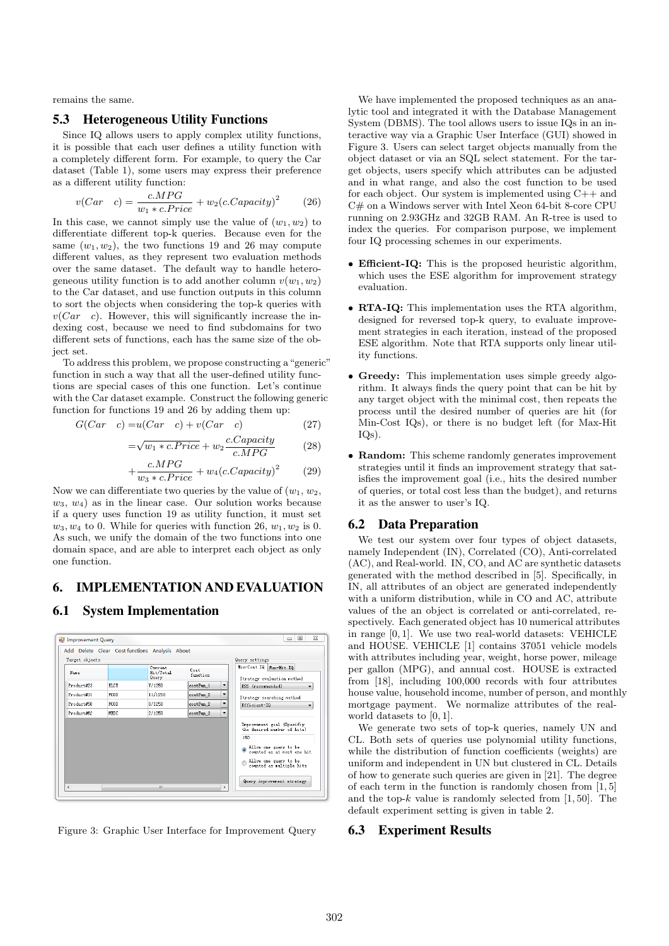remains the same.

#### 5.3 Heterogeneous Utility Functions

Since IQ allows users to apply complex utility functions, it is possible that each user defines a utility function with a completely different form. For example, to query the Car dataset (Table 1), some users may express their preference as a different utility function:

$$
v(Car \quad c) = \frac{c.MPG}{w_1 * c.Price} + w_2(c.Capacity)^2 \tag{26}
$$

In this case, we cannot simply use the value of  $(w_1, w_2)$  to differentiate different top-k queries. Because even for the same  $(w_1, w_2)$ , the two functions 19 and 26 may compute different values, as they represent two evaluation methods over the same dataset. The default way to handle heterogeneous utility function is to add another column  $v(w_1, w_2)$ to the Car dataset, and use function outputs in this column to sort the objects when considering the top-k queries with  $v(Car \ c)$ . However, this will significantly increase the indexing cost, because we need to find subdomains for two different sets of functions, each has the same size of the object set.

To address this problem, we propose constructing a"generic" function in such a way that all the user-defined utility functions are special cases of this one function. Let's continue with the Car dataset example. Construct the following generic function for functions 19 and 26 by adding them up:

$$
G(Car \quad c) = u(Car \quad c) + v(Car \quad c) \tag{27}
$$

$$
=\sqrt{w_1 * c.Price} + w_2 \frac{c.Capacity}{c.MPG} \tag{28}
$$

$$
+\frac{c.MPG}{w_3 * c.Price} + w_4(c.Capacity)^2 \qquad (29)
$$

Now we can differentiate two queries by the value of  $(w_1, w_2, ...)$  $w_3, w_4$ ) as in the linear case. Our solution works because if a query uses function 19 as utility function, it must set  $w_3, w_4$  to 0. While for queries with function 26,  $w_1, w_2$  is 0. As such, we unify the domain of the two functions into one domain space, and are able to interpret each object as only one function.

# 6. IMPLEMENTATION AND EVALUATION

# 6.1 System Implementation



Figure 3: Graphic User Interface for Improvement Query

We have implemented the proposed techniques as an analytic tool and integrated it with the Database Management System (DBMS). The tool allows users to issue IQs in an interactive way via a Graphic User Interface (GUI) showed in Figure 3. Users can select target objects manually from the object dataset or via an SQL select statement. For the target objects, users specify which attributes can be adjusted and in what range, and also the cost function to be used for each object. Our system is implemented using C++ and C# on a Windows server with Intel Xeon 64-bit 8-core CPU running on 2.93GHz and 32GB RAM. An R-tree is used to index the queries. For comparison purpose, we implement four IQ processing schemes in our experiments.

- Efficient-IQ: This is the proposed heuristic algorithm, which uses the ESE algorithm for improvement strategy evaluation.
- RTA-IQ: This implementation uses the RTA algorithm, designed for reversed top-k query, to evaluate improvement strategies in each iteration, instead of the proposed ESE algorithm. Note that RTA supports only linear utility functions.
- Greedy: This implementation uses simple greedy algorithm. It always finds the query point that can be hit by any target object with the minimal cost, then repeats the process until the desired number of queries are hit (for Min-Cost IQs), or there is no budget left (for Max-Hit IQs).
- Random: This scheme randomly generates improvement strategies until it finds an improvement strategy that satisfies the improvement goal (i.e., hits the desired number of queries, or total cost less than the budget), and returns it as the answer to user's IQ.

## 6.2 Data Preparation

We test our system over four types of object datasets, namely Independent (IN), Correlated (CO), Anti-correlated (AC), and Real-world. IN, CO, and AC are synthetic datasets generated with the method described in [5]. Specifically, in IN, all attributes of an object are generated independently with a uniform distribution, while in CO and AC, attribute values of the an object is correlated or anti-correlated, respectively. Each generated object has 10 numerical attributes in range [0, 1]. We use two real-world datasets: VEHICLE and HOUSE. VEHICLE [1] contains 37051 vehicle models with attributes including year, weight, horse power, mileage per gallon (MPG), and annual cost. HOUSE is extracted from [18], including 100,000 records with four attributes house value, household income, number of person, and monthly mortgage payment. We normalize attributes of the realworld datasets to [0, 1].

We generate two sets of top-k queries, namely UN and CL. Both sets of queries use polynomial utility functions, while the distribution of function coefficients (weights) are uniform and independent in UN but clustered in CL. Details of how to generate such queries are given in [21]. The degree of each term in the function is randomly chosen from [1, 5] and the top- $k$  value is randomly selected from [1, 50]. The default experiment setting is given in table 2.

## 6.3 Experiment Results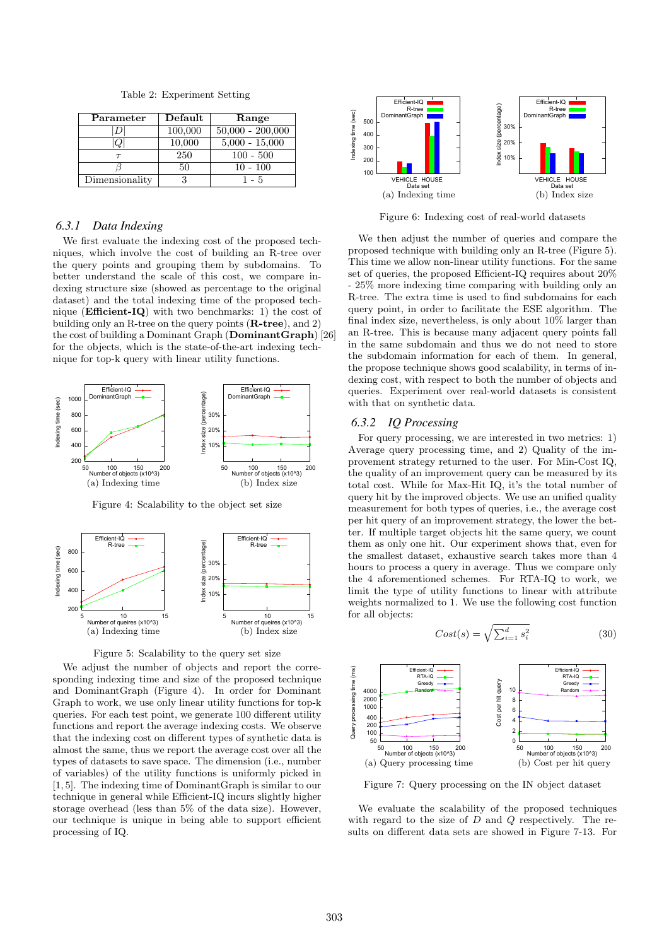Table 2: Experiment Setting

| Parameter      | Default | Range              |
|----------------|---------|--------------------|
|                | 100,000 | $50,000 - 200,000$ |
|                | 10,000  | $5,000 - 15,000$   |
|                | 250     | $100 - 500$        |
|                | 50      | $10 - 100$         |
| Dimensionality |         | 1 - 5              |

#### *6.3.1 Data Indexing*

We first evaluate the indexing cost of the proposed techniques, which involve the cost of building an R-tree over the query points and grouping them by subdomains. To better understand the scale of this cost, we compare indexing structure size (showed as percentage to the original dataset) and the total indexing time of the proposed technique (Efficient-IQ) with two benchmarks: 1) the cost of building only an R-tree on the query points (R-tree), and 2) the cost of building a Dominant Graph (DominantGraph) [26] for the objects, which is the state-of-the-art indexing technique for top-k query with linear utility functions.



Figure 4: Scalability to the object set size





We adjust the number of objects and report the corresponding indexing time and size of the proposed technique and DominantGraph (Figure 4). In order for Dominant Graph to work, we use only linear utility functions for top-k queries. For each test point, we generate 100 different utility functions and report the average indexing costs. We observe that the indexing cost on different types of synthetic data is almost the same, thus we report the average cost over all the types of datasets to save space. The dimension (i.e., number of variables) of the utility functions is uniformly picked in [1, 5]. The indexing time of DominantGraph is similar to our technique in general while Efficient-IQ incurs slightly higher storage overhead (less than 5% of the data size). However, our technique is unique in being able to support efficient processing of IQ.



Figure 6: Indexing cost of real-world datasets

We then adjust the number of queries and compare the proposed technique with building only an R-tree (Figure 5). This time we allow non-linear utility functions. For the same set of queries, the proposed Efficient-IQ requires about 20% - 25% more indexing time comparing with building only an R-tree. The extra time is used to find subdomains for each query point, in order to facilitate the ESE algorithm. The final index size, nevertheless, is only about 10% larger than an R-tree. This is because many adjacent query points fall in the same subdomain and thus we do not need to store the subdomain information for each of them. In general, the propose technique shows good scalability, in terms of indexing cost, with respect to both the number of objects and queries. Experiment over real-world datasets is consistent with that on synthetic data.

## *6.3.2 IQ Processing*

For query processing, we are interested in two metrics: 1) Average query processing time, and 2) Quality of the improvement strategy returned to the user. For Min-Cost IQ, the quality of an improvement query can be measured by its total cost. While for Max-Hit IQ, it's the total number of query hit by the improved objects. We use an unified quality measurement for both types of queries, i.e., the average cost per hit query of an improvement strategy, the lower the better. If multiple target objects hit the same query, we count them as only one hit. Our experiment shows that, even for the smallest dataset, exhaustive search takes more than 4 hours to process a query in average. Thus we compare only the 4 aforementioned schemes. For RTA-IQ to work, we limit the type of utility functions to linear with attribute weights normalized to 1. We use the following cost function for all objects:

$$
Cost(s) = \sqrt{\sum_{i=1}^{d} s_i^2}
$$
 (30)



Figure 7: Query processing on the IN object dataset

We evaluate the scalability of the proposed techniques with regard to the size of  $D$  and  $Q$  respectively. The results on different data sets are showed in Figure 7-13. For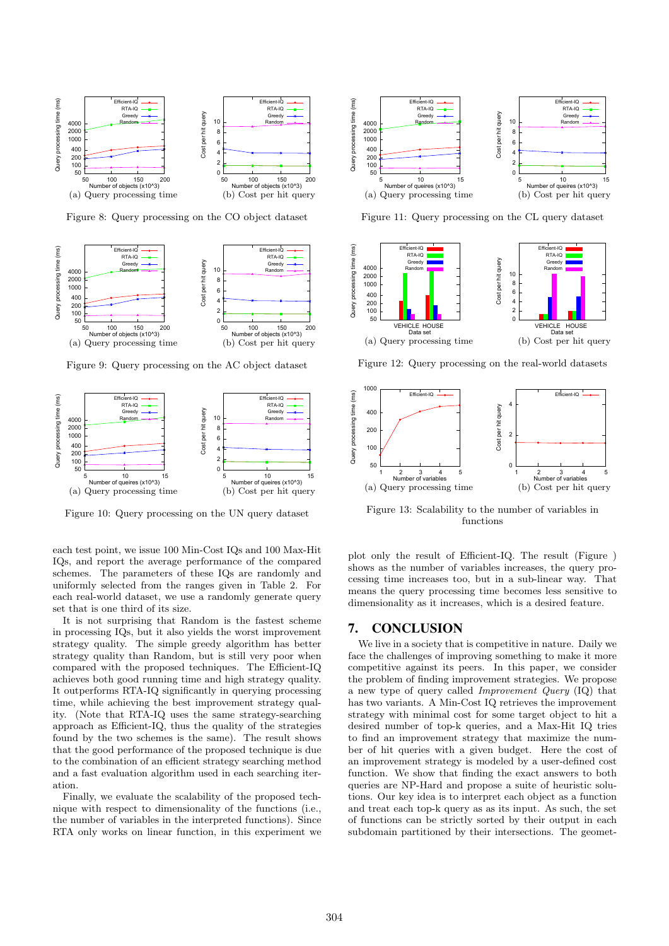

Figure 8: Query processing on the CO object dataset



Figure 9: Query processing on the AC object dataset



Figure 10: Query processing on the UN query dataset

each test point, we issue 100 Min-Cost IQs and 100 Max-Hit IQs, and report the average performance of the compared schemes. The parameters of these IQs are randomly and uniformly selected from the ranges given in Table 2. For each real-world dataset, we use a randomly generate query set that is one third of its size.

It is not surprising that Random is the fastest scheme in processing IQs, but it also yields the worst improvement strategy quality. The simple greedy algorithm has better strategy quality than Random, but is still very poor when compared with the proposed techniques. The Efficient-IQ achieves both good running time and high strategy quality. It outperforms RTA-IQ significantly in querying processing time, while achieving the best improvement strategy quality. (Note that RTA-IQ uses the same strategy-searching approach as Efficient-IQ, thus the quality of the strategies found by the two schemes is the same). The result shows that the good performance of the proposed technique is due to the combination of an efficient strategy searching method and a fast evaluation algorithm used in each searching iteration.

Finally, we evaluate the scalability of the proposed technique with respect to dimensionality of the functions (i.e., the number of variables in the interpreted functions). Since RTA only works on linear function, in this experiment we



Figure 11: Query processing on the CL query dataset



Figure 12: Query processing on the real-world datasets



Figure 13: Scalability to the number of variables in functions

plot only the result of Efficient-IQ. The result (Figure ) shows as the number of variables increases, the query processing time increases too, but in a sub-linear way. That means the query processing time becomes less sensitive to dimensionality as it increases, which is a desired feature.

## 7. CONCLUSION

We live in a society that is competitive in nature. Daily we face the challenges of improving something to make it more competitive against its peers. In this paper, we consider the problem of finding improvement strategies. We propose a new type of query called Improvement Query (IQ) that has two variants. A Min-Cost IQ retrieves the improvement strategy with minimal cost for some target object to hit a desired number of top-k queries, and a Max-Hit IQ tries to find an improvement strategy that maximize the number of hit queries with a given budget. Here the cost of an improvement strategy is modeled by a user-defined cost function. We show that finding the exact answers to both queries are NP-Hard and propose a suite of heuristic solutions. Our key idea is to interpret each object as a function and treat each top-k query as as its input. As such, the set of functions can be strictly sorted by their output in each subdomain partitioned by their intersections. The geomet